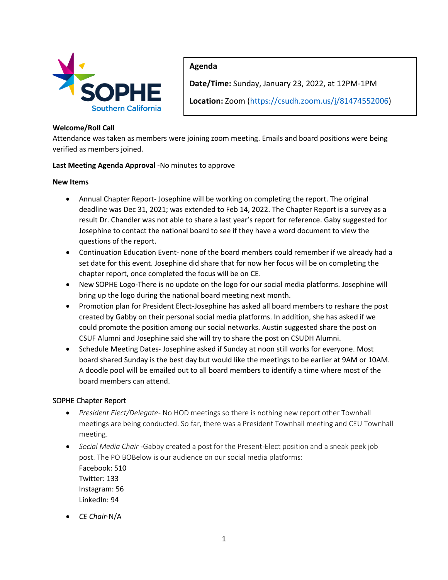

# **Agenda**

**Date/Time:** Sunday, January 23, 2022, at 12PM-1PM

**Location:** Zoom (https://csudh.zoom.us/j/81474552006)

## **Welcome/Roll Call**

Attendance was taken as members were joining zoom meeting. Emails and board positions were being verified as members joined.

#### **Last Meeting Agenda Approval** -No minutes to approve

#### **New Items**

- Annual Chapter Report- Josephine will be working on completing the report. The original deadline was Dec 31, 2021; was extended to Feb 14, 2022. The Chapter Report is a survey as a result Dr. Chandler was not able to share a last year's report for reference. Gaby suggested for Josephine to contact the national board to see if they have a word document to view the questions of the report.
- Continuation Education Event- none of the board members could remember if we already had a set date for this event. Josephine did share that for now her focus will be on completing the chapter report, once completed the focus will be on CE.
- New SOPHE Logo-There is no update on the logo for our social media platforms. Josephine will bring up the logo during the national board meeting next month.
- Promotion plan for President Elect-Josephine has asked all board members to reshare the post created by Gabby on their personal social media platforms. In addition, she has asked if we could promote the position among our social networks. Austin suggested share the post on CSUF Alumni and Josephine said she will try to share the post on CSUDH Alumni.
- Schedule Meeting Dates- Josephine asked if Sunday at noon still works for everyone. Most board shared Sunday is the best day but would like the meetings to be earlier at 9AM or 10AM. A doodle pool will be emailed out to all board members to identify a time where most of the board members can attend.

# SOPHE Chapter Report

- *President Elect/Delegate* No HOD meetings so there is nothing new report other Townhall meetings are being conducted. So far, there was a President Townhall meeting and CEU Townhall meeting.
- *Social Media Chair* -Gabby created a post for the Present-Elect position and a sneak peek job post. The PO BOBelow is our audience on our social media platforms: Facebook: 510 Twitter: 133 Instagram: 56

LinkedIn: 94

• *CE Chair*-N/A